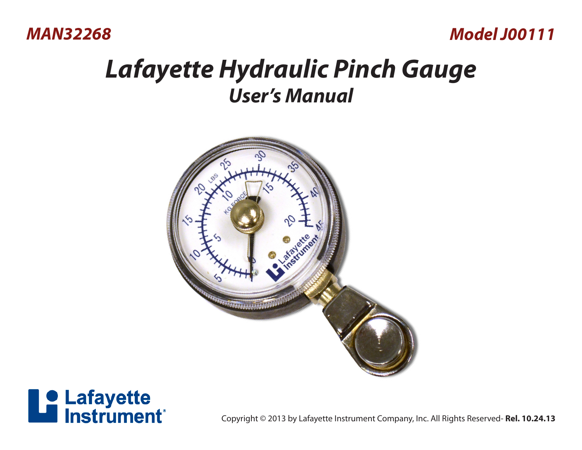*MAN32268* 

## *Model J00111*

## *Lafayette Hydraulic Pinch Gauge User's Manual*





**Strument**®<br>
Copyright © 2013 by Lafayette Instrument Company, Inc. All Rights Reserved- **Rel. 10.24.13**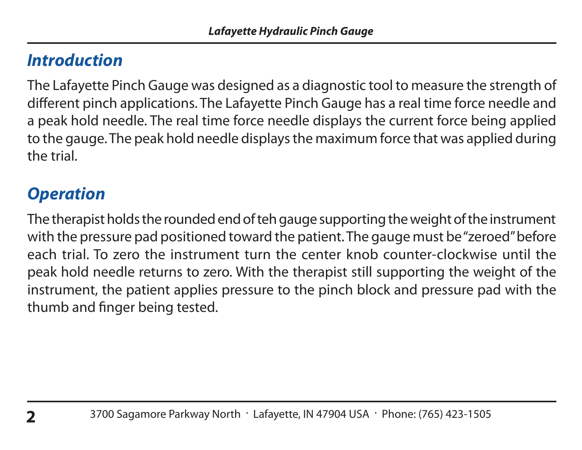## *Introduction*

The Lafayette Pinch Gauge was designed as a diagnostic tool to measure the strength of different pinch applications. The Lafayette Pinch Gauge has a real time force needle and a peak hold needle. The real time force needle displays the current force being applied to the gauge. The peak hold needle displays the maximum force that was applied during the trial.

## *Operation*

The therapist holds the rounded end of teh gauge supporting the weight of the instrument with the pressure pad positioned toward the patient. The gauge must be "zeroed" before each trial. To zero the instrument turn the center knob counter-clockwise until the peak hold needle returns to zero. With the therapist still supporting the weight of the instrument, the patient applies pressure to the pinch block and pressure pad with the thumb and finger being tested.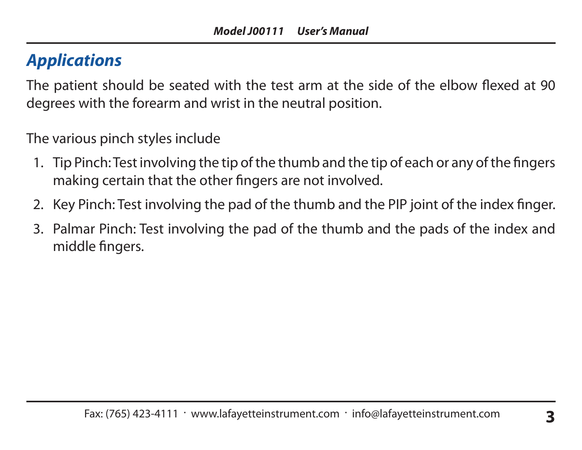## *Applications*

The patient should be seated with the test arm at the side of the elbow flexed at 90 degrees with the forearm and wrist in the neutral position.

The various pinch styles include

- 1. Tip Pinch: Test involving the tip of the thumb and the tip of each or any of the fingers making certain that the other fingers are not involved.
- 2. Key Pinch: Test involving the pad of the thumb and the PIP joint of the index finger.
- 3. Palmar Pinch: Test involving the pad of the thumb and the pads of the index and middle fingers.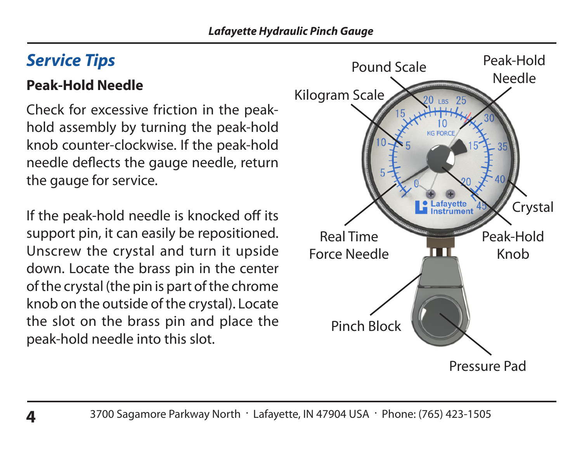## *Service Tips*

## **Peak-Hold Needle**

Check for excessive friction in the peakhold assembly by turning the peak-hold knob counter-clockwise. If the peak-hold needle deflects the gauge needle, return the gauge for service.

If the peak-hold needle is knocked off its support pin, it can easily be repositioned. Unscrew the crystal and turn it upside down. Locate the brass pin in the center of the crystal (the pin is part of the chrome knob on the outside of the crystal). Locate the slot on the brass pin and place the peak-hold needle into this slot.

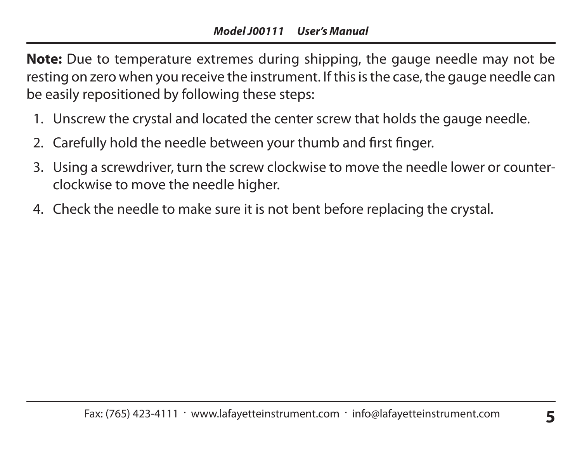**Note:** Due to temperature extremes during shipping, the gauge needle may not be resting on zero when you receive the instrument. If this is the case, the gauge needle can be easily repositioned by following these steps:

- 1. Unscrew the crystal and located the center screw that holds the gauge needle.
- 2. Carefully hold the needle between your thumb and first finger.
- 3. Using a screwdriver, turn the screw clockwise to move the needle lower or counterclockwise to move the needle higher.
- 4. Check the needle to make sure it is not bent before replacing the crystal.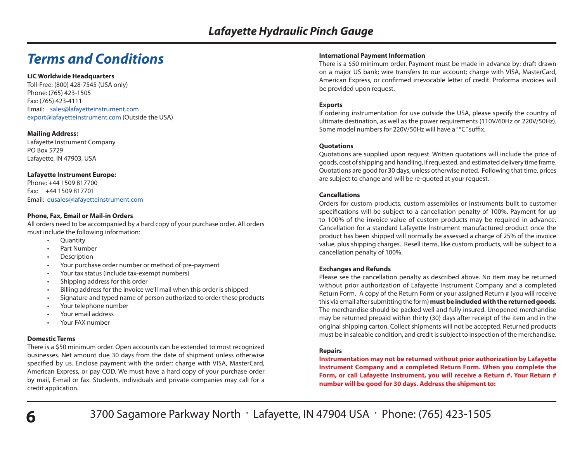### *Terms and Conditions*

#### **LIC Worldwide Headquarters**

Toll-Free: (800) 428-7545 (USA only) Phone: (765) 423-1505 Fax: (765) 423-4111 Email: sales@lafayetteinstrument.com export@lafayetteinstrument.com (Outside the USA)

#### **Mailing Address:**

Lafayette Instrument Company PO Box 5729 Lafayette, IN 47903, USA

#### **Lafayette Instrument Europe:**

Phone: +44 1509 817700 Fax: +44 1509 817701 Email: eusales@lafayetteinstrument.com

#### **Phone, Fax, Email or Mail-in Orders**

All orders need to be accompanied by a hard copy of your purchase order. All orders must include the following information:<br>Cuantity

- Quantity
- Part Number
- **Description**
- Your purchase order number or method of pre-payment
- Your tax status (include tax-exempt numbers)
- Shipping address for this order
- Billing address for the invoice we'll mail when this order is shipped
- Signature and typed name of person authorized to order these products
- Your telephone number
- Your email address
- Your FAX number

#### **Domestic Terms**

There is a \$50 minimum order. Open accounts can be extended to most recognized businesses. Net amount due 30 days from the date of shipment unless otherwise specified by us. Enclose payment with the order; charge with VISA, MasterCard, American Express, or pay COD. We must have a hard copy of your purchase order by mail, E-mail or fax. Students, individuals and private companies may call for a credit application.

#### **International Payment Information**

There is a \$50 minimum order. Payment must be made in advance by: draft drawn on a major US bank; wire transfers to our account; charge with VISA, MasterCard, American Express, or confirmed irrevocable letter of credit. Proforma invoices will be provided upon request.

#### **Exports**

If ordering instrumentation for use outside the USA, please specify the country of ultimate destination, as well as the power requirements (110V/60Hz or 220V/50Hz). Some model numbers for 220V/50Hz will have a "\*C" suffix.

#### **Quotations**

Quotations are supplied upon request. Written quotations will include the price of goods, cost of shipping and handling, if requested, and estimated delivery time frame. Quotations are good for 30 days, unless otherwise noted. Following that time, prices are subject to change and will be re-quoted at your request.

#### **Cancellations**

Orders for custom products, custom assemblies or instruments built to customer specifications will be subject to a cancellation penalty of 100%. Payment for up to 100% of the invoice value of custom products may be required in advance. Cancellation for a standard Lafayette Instrument manufactured product once the product has been shipped will normally be assessed a charge of 25% of the invoice value, plus shipping charges. Resell items, like custom products, will be subject to a cancellation penalty of 100%.

#### **Exchanges and Refunds**

Please see the cancellation penalty as described above. No item may be returned without prior authorization of Lafayette Instrument Company and a completed Return Form. A copy of the Return Form or your assigned Return # (you will receive this via email after submitting the form) **must be included with the returned goods**. The merchandise should be packed well and fully insured. Unopened merchandise may be returned prepaid within thirty (30) days after receipt of the item and in the original shipping carton. Collect shipments will not be accepted. Returned products must be in saleable condition, and credit is subject to inspection of the merchandise.

#### **Repairs**

**Instrumentation may not be returned without prior authorization by Lafayette Instrument Company and a completed Return Form. When you complete the Form, or call Lafayette Instrument, you will receive a Return #. Your Return # number will be good for 30 days. Address the shipment to:**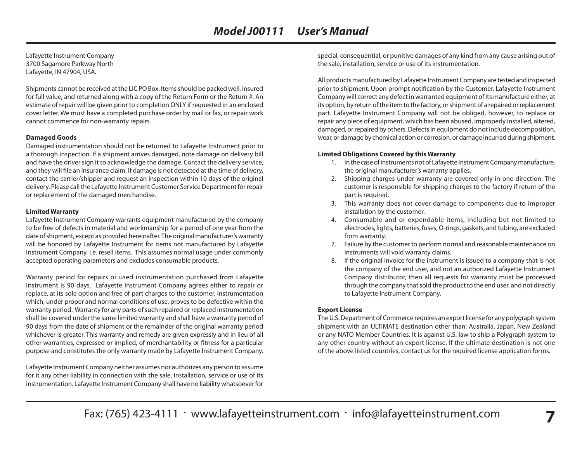Lafayette Instrument Company 3700 Sagamore Parkway North Lafayette, IN 47904, USA.

Shipments cannot be received at the LIC PO Box. Items should be packed well, insured for full value, and returned along with a copy of the Return Form or the Return #. An estimate of repair will be given prior to completion ONLY if requested in an enclosed cover letter. We must have a completed purchase order by mail or fax, or repair work cannot commence for non-warranty repairs.

#### **Damaged Goods**

Damaged instrumentation should not be returned to Lafayette Instrument prior to a thorough inspection. If a shipment arrives damaged, note damage on delivery bill and have the driver sign it to acknowledge the damage. Contact the delivery service, and they will file an insurance claim. If damage is not detected at the time of delivery, contact the carrier/shipper and request an inspection within 10 days of the original delivery. Please call the Lafayette Instrument Customer Service Department for repair or replacement of the damaged merchandise.

#### **Limited Warranty**

Lafayette Instrument Company warrants equipment manufactured by the company to be free of defects in material and workmanship for a period of one year from the date of shipment, except as provided hereinafter. The original manufacturer's warranty will be honored by Lafayette Instrument for items not manufactured by Lafayette Instrument Company, i.e. resell items. This assumes normal usage under commonly accepted operating parameters and excludes consumable products.

Warranty period for repairs or used instrumentation purchased from Lafayette Instrument is 90 days. Lafayette Instrument Company agrees either to repair or replace, at its sole option and free of part charges to the customer, instrumentation which, under proper and normal conditions of use, proves to be defective within the warranty period. Warranty for any parts of such repaired or replaced instrumentation shall be covered under the same limited warranty and shall have a warranty period of 90 days from the date of shipment or the remainder of the original warranty period whichever is greater. This warranty and remedy are given expressly and in lieu of all other warranties, expressed or implied, of merchantability or fitness for a particular purpose and constitutes the only warranty made by Lafayette Instrument Company.

Lafayette Instrument Company neither assumes nor authorizes any person to assume for it any other liability in connection with the sale, installation, service or use of its instrumentation. Lafayette Instrument Company shall have no liability whatsoever for

special, consequential, or punitive damages of any kind from any cause arising out of the sale, installation, service or use of its instrumentation.

All products manufactured by Lafayette Instrument Company are tested and inspected prior to shipment. Upon prompt notification by the Customer, Lafayette Instrument Company will correct any defect in warranted equipment of its manufacture either, at its option, by return of the item to the factory, or shipment of a repaired or replacement part. Lafayette Instrument Company will not be obliged, however, to replace or repair any piece of equipment, which has been abused, improperly installed, altered, damaged, or repaired by others. Defects in equipment do not include decomposition, wear, or damage by chemical action or corrosion, or damage incurred during shipment.

#### **Limited Obligations Covered by this Warranty**

- 1. In the case of instruments not of Lafayette Instrument Company manufacture, the original manufacturer's warranty applies.
- 2. Shipping charges under warranty are covered only in one direction. The customer is responsible for shipping charges to the factory if return of the part is required.
- 3. This warranty does not cover damage to components due to improper installation by the customer.
- 4. Consumable and or expendable items, including but not limited to electrodes, lights, batteries, fuses, O-rings, gaskets, and tubing, are excluded from warranty.
- 7. Failure by the customer to perform normal and reasonable maintenance on instruments will void warranty claims.
- 8. If the original invoice for the instrument is issued to a company that is not the company of the end user, and not an authorized Lafayette Instrument Company distributor, then all requests for warranty must be processed through the company that sold the product to the end user, and not directly to Lafayette Instrument Company.

#### **Export License**

The U.S. Department of Commerce requires an export license for any polygraph system shipment with an ULTIMATE destination other than: Australia, Japan, New Zealand or any NATO Member Countries. It is against U.S. law to ship a Polygraph system to any other country without an export license. If the ultimate destination is not one of the above listed countries, contact us for the required license application forms.